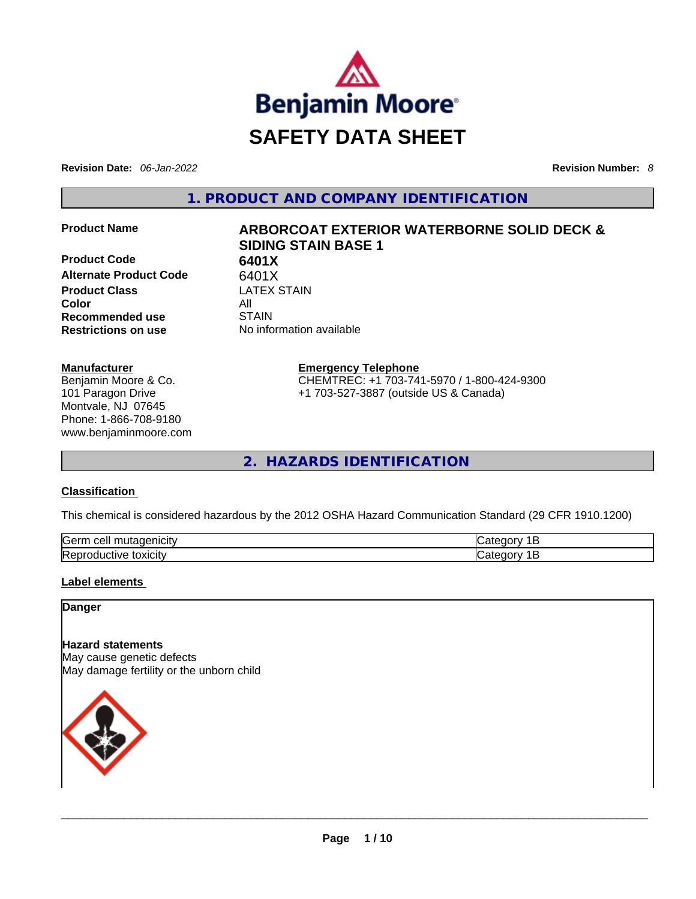

**Revision Date:** *06-Jan-2022* **Revision Number:** *8*

**1. PRODUCT AND COMPANY IDENTIFICATION** 

**Product Code 6401X Alternate Product Code** 6401X **Product Class** LATEX STAIN **Color** All **Recommended use** STAIN **Restrictions on use** No information available

# **Product Name ARBORCOAT EXTERIOR WATERBORNE SOLID DECK & SIDING STAIN BASE 1**

**Emergency Telephone** CHEMTREC: +1 703-741-5970 / 1-800-424-9300 +1 703-527-3887 (outside US & Canada)

**2. HAZARDS IDENTIFICATION** 

#### **Classification**

**Manufacturer**

Benjamin Moore & Co. 101 Paragon Drive Montvale, NJ 07645 Phone: 1-866-708-9180 www.benjaminmoore.com

This chemical is considered hazardous by the 2012 OSHA Hazard Communication Standard (29 CFR 1910.1200)

| <b>Serr</b><br>$\sim$ $\sim$ $\sim$ $\sim$ $\sim$ $\sim$ $\sim$<br>cell<br>.<br>MCITV | 10 H |
|---------------------------------------------------------------------------------------|------|
| Repr<br>toxicity<br><b>TVP</b><br>энн                                                 | 10 H |

#### **Label elements**

**Danger** 

#### **Hazard statements**

May cause genetic defects May damage fertility or the unborn child

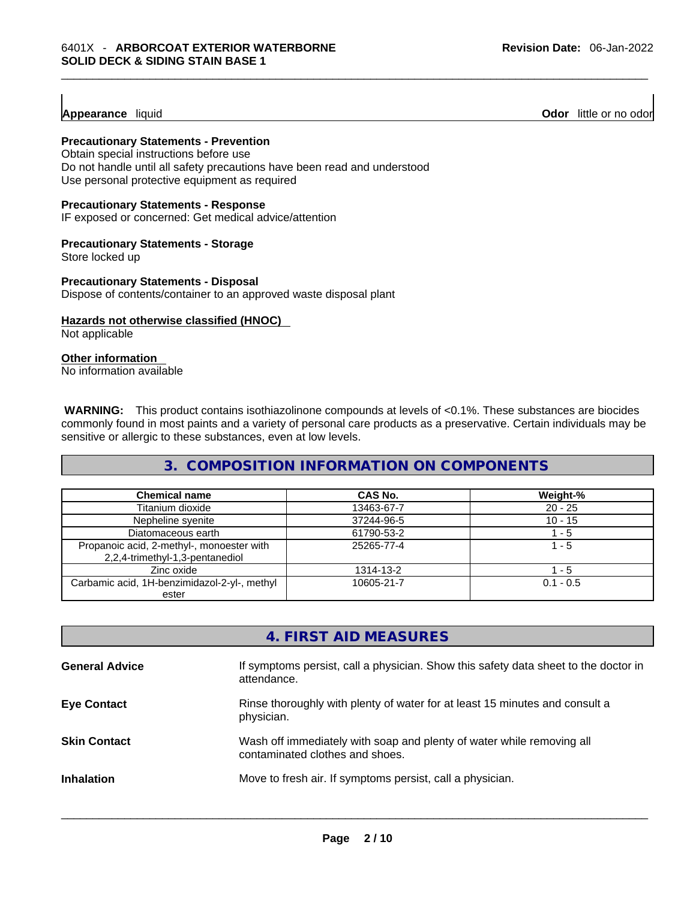#### **Appearance** liquid

**Odor** little or no odor

#### **Precautionary Statements - Prevention**

Obtain special instructions before use Do not handle until all safety precautions have been read and understood Use personal protective equipment as required

#### **Precautionary Statements - Response**

IF exposed or concerned: Get medical advice/attention

#### **Precautionary Statements - Storage**

Store locked up

**Precautionary Statements - Disposal** Dispose of contents/container to an approved waste disposal plant

## **Hazards not otherwise classified (HNOC)**

Not applicable

#### **Other information**

No information available

**WARNING:** This product contains isothiazolinone compounds at levels of <0.1%. These substances are biocides commonly found in most paints and a variety of personal care products as a preservative. Certain individuals may be sensitive or allergic to these substances, even at low levels.

#### **3. COMPOSITION INFORMATION ON COMPONENTS**

| <b>Chemical name</b>                                                         | <b>CAS No.</b> | Weight-%    |
|------------------------------------------------------------------------------|----------------|-------------|
| Titanium dioxide                                                             | 13463-67-7     | $20 - 25$   |
| Nepheline syenite                                                            | 37244-96-5     | $10 - 15$   |
| Diatomaceous earth                                                           | 61790-53-2     | 1 - 5       |
| Propanoic acid, 2-methyl-, monoester with<br>2,2,4-trimethyl-1,3-pentanediol | 25265-77-4     | 1 - 5       |
| Zinc oxide                                                                   | 1314-13-2      | l - 5       |
| Carbamic acid, 1H-benzimidazol-2-yl-, methyl<br>ester                        | 10605-21-7     | $0.1 - 0.5$ |

|                       | 4. FIRST AID MEASURES                                                                                    |
|-----------------------|----------------------------------------------------------------------------------------------------------|
| <b>General Advice</b> | If symptoms persist, call a physician. Show this safety data sheet to the doctor in<br>attendance.       |
| <b>Eye Contact</b>    | Rinse thoroughly with plenty of water for at least 15 minutes and consult a<br>physician.                |
| <b>Skin Contact</b>   | Wash off immediately with soap and plenty of water while removing all<br>contaminated clothes and shoes. |
| <b>Inhalation</b>     | Move to fresh air. If symptoms persist, call a physician.                                                |
|                       |                                                                                                          |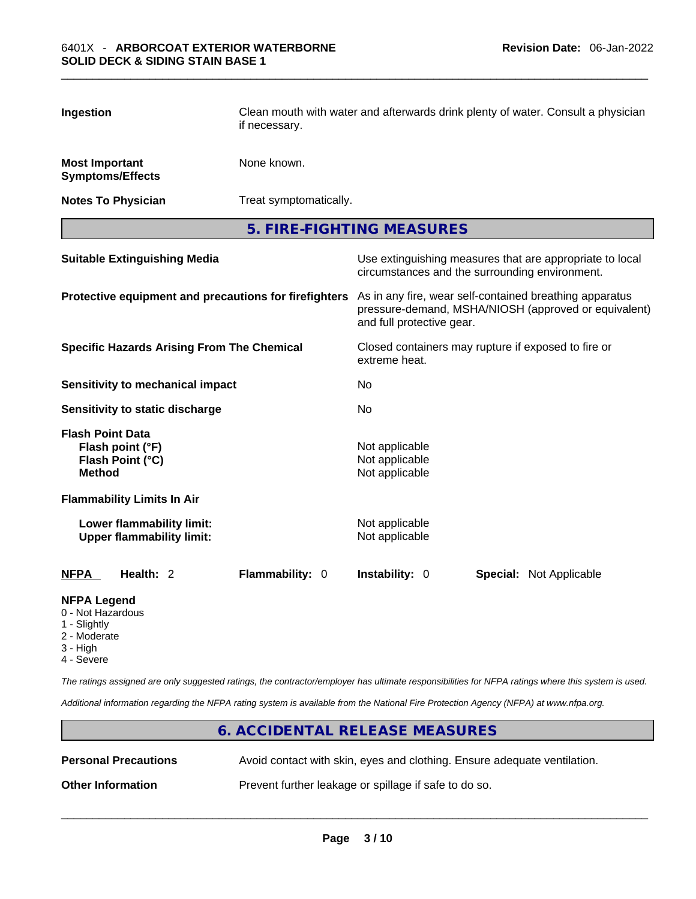| Ingestion                                                                        | Clean mouth with water and afterwards drink plenty of water. Consult a physician<br>if necessary. |                                                                                                                                              |  |
|----------------------------------------------------------------------------------|---------------------------------------------------------------------------------------------------|----------------------------------------------------------------------------------------------------------------------------------------------|--|
| <b>Most Important</b><br><b>Symptoms/Effects</b>                                 | None known.                                                                                       |                                                                                                                                              |  |
| <b>Notes To Physician</b>                                                        | Treat symptomatically.                                                                            |                                                                                                                                              |  |
|                                                                                  |                                                                                                   | 5. FIRE-FIGHTING MEASURES                                                                                                                    |  |
| <b>Suitable Extinguishing Media</b>                                              |                                                                                                   | Use extinguishing measures that are appropriate to local<br>circumstances and the surrounding environment.                                   |  |
| Protective equipment and precautions for firefighters                            |                                                                                                   | As in any fire, wear self-contained breathing apparatus<br>pressure-demand, MSHA/NIOSH (approved or equivalent)<br>and full protective gear. |  |
| <b>Specific Hazards Arising From The Chemical</b>                                |                                                                                                   | Closed containers may rupture if exposed to fire or<br>extreme heat.                                                                         |  |
| <b>Sensitivity to mechanical impact</b>                                          |                                                                                                   | No.                                                                                                                                          |  |
| Sensitivity to static discharge                                                  |                                                                                                   | No                                                                                                                                           |  |
| <b>Flash Point Data</b><br>Flash point (°F)<br>Flash Point (°C)<br><b>Method</b> |                                                                                                   | Not applicable<br>Not applicable<br>Not applicable                                                                                           |  |
| <b>Flammability Limits In Air</b>                                                |                                                                                                   |                                                                                                                                              |  |
| Lower flammability limit:<br><b>Upper flammability limit:</b>                    |                                                                                                   | Not applicable<br>Not applicable                                                                                                             |  |
| Health: 2<br><b>NFPA</b>                                                         | Flammability: 0                                                                                   | Instability: 0<br><b>Special: Not Applicable</b>                                                                                             |  |
| <b>NFPA Legend</b>                                                               |                                                                                                   |                                                                                                                                              |  |

- 0 Not Hazardous
- 1 Slightly
- 2 Moderate
- 3 High
- 4 Severe

*The ratings assigned are only suggested ratings, the contractor/employer has ultimate responsibilities for NFPA ratings where this system is used.* 

*Additional information regarding the NFPA rating system is available from the National Fire Protection Agency (NFPA) at www.nfpa.org.* 

|                          | 6. ACCIDENTAL RELEASE MEASURES                                           |
|--------------------------|--------------------------------------------------------------------------|
| Personal Precautions     | Avoid contact with skin, eyes and clothing. Ensure adequate ventilation. |
| <b>Other Information</b> | Prevent further leakage or spillage if safe to do so.                    |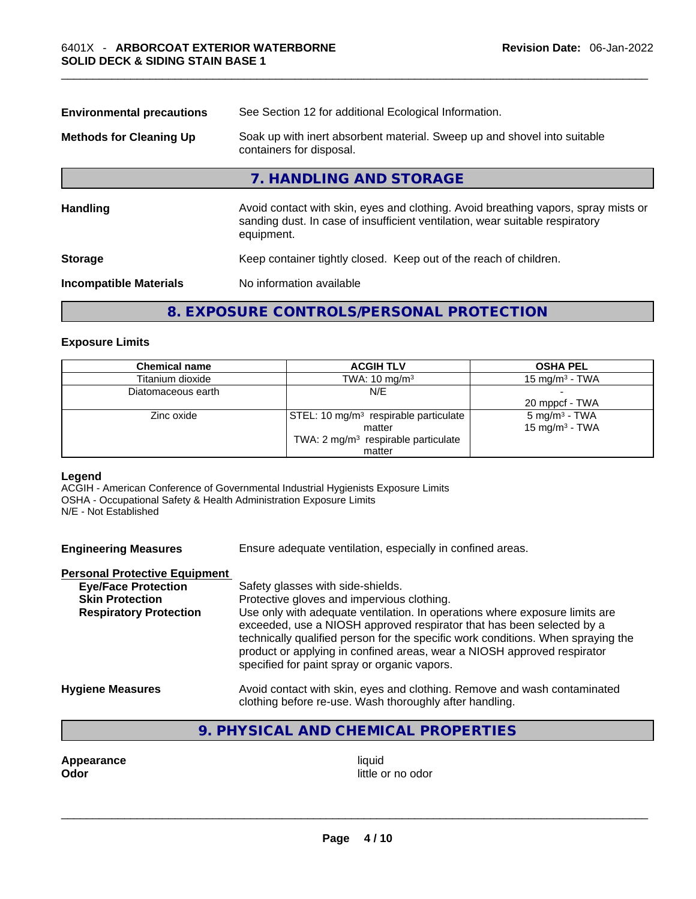| See Section 12 for additional Ecological Information.<br><b>Environmental precautions</b> |                                                                                                                                                                                  |  |
|-------------------------------------------------------------------------------------------|----------------------------------------------------------------------------------------------------------------------------------------------------------------------------------|--|
| <b>Methods for Cleaning Up</b>                                                            | Soak up with inert absorbent material. Sweep up and shovel into suitable<br>containers for disposal.                                                                             |  |
|                                                                                           | 7. HANDLING AND STORAGE                                                                                                                                                          |  |
| <b>Handling</b>                                                                           | Avoid contact with skin, eyes and clothing. Avoid breathing vapors, spray mists or<br>sanding dust. In case of insufficient ventilation, wear suitable respiratory<br>equipment. |  |
| <b>Storage</b>                                                                            | Keep container tightly closed. Keep out of the reach of children.                                                                                                                |  |
| <b>Incompatible Materials</b>                                                             | No information available                                                                                                                                                         |  |
|                                                                                           | 8. EXPOSURE CONTROLS/PERSONAL PROTECTION                                                                                                                                         |  |

#### **Exposure Limits**

| <b>Chemical name</b> | <b>ACGIH TLV</b>                                  | <b>OSHA PEL</b>            |
|----------------------|---------------------------------------------------|----------------------------|
| Titanium dioxide     | TWA: $10 \text{ mg/m}^3$                          | 15 mg/m $3$ - TWA          |
| Diatomaceous earth   | N/E                                               |                            |
|                      |                                                   | 20 mppcf - TWA             |
| Zinc oxide           | STEL: 10 mg/m <sup>3</sup> respirable particulate | $5 \text{ mg/m}^3$ - TWA   |
|                      | matter                                            | 15 mg/m <sup>3</sup> - TWA |
|                      | TWA: 2 mg/m <sup>3</sup> respirable particulate   |                            |
|                      | matter                                            |                            |

#### **Legend**

ACGIH - American Conference of Governmental Industrial Hygienists Exposure Limits OSHA - Occupational Safety & Health Administration Exposure Limits N/E - Not Established

**Engineering Measures** Ensure adequate ventilation, especially in confined areas.

#### **Personal Protective Equipment**

| <b>Eye/Face Protection</b>    | Safety glasses with side-shields.                                                |
|-------------------------------|----------------------------------------------------------------------------------|
| <b>Skin Protection</b>        | Protective gloves and impervious clothing.                                       |
| <b>Respiratory Protection</b> | Use only with adequate ventilation. In operations where exposure limits are      |
|                               | exceeded, use a NIOSH approved respirator that has been selected by a            |
|                               | technically qualified person for the specific work conditions. When spraying the |
|                               | product or applying in confined areas, wear a NIOSH approved respirator          |
|                               | specified for paint spray or organic vapors.                                     |
| <b>Hygiene Measures</b>       | Avoid contact with skin, eyes and clothing. Remove and wash contaminated         |
|                               | clothing before re-use. Wash thoroughly after handling.                          |

## **9. PHYSICAL AND CHEMICAL PROPERTIES**

**Appearance liquid** 

**Odor** little or no odor \_\_\_\_\_\_\_\_\_\_\_\_\_\_\_\_\_\_\_\_\_\_\_\_\_\_\_\_\_\_\_\_\_\_\_\_\_\_\_\_\_\_\_\_\_\_\_\_\_\_\_\_\_\_\_\_\_\_\_\_\_\_\_\_\_\_\_\_\_\_\_\_\_\_\_\_\_\_\_\_\_\_\_\_\_\_\_\_\_\_\_\_\_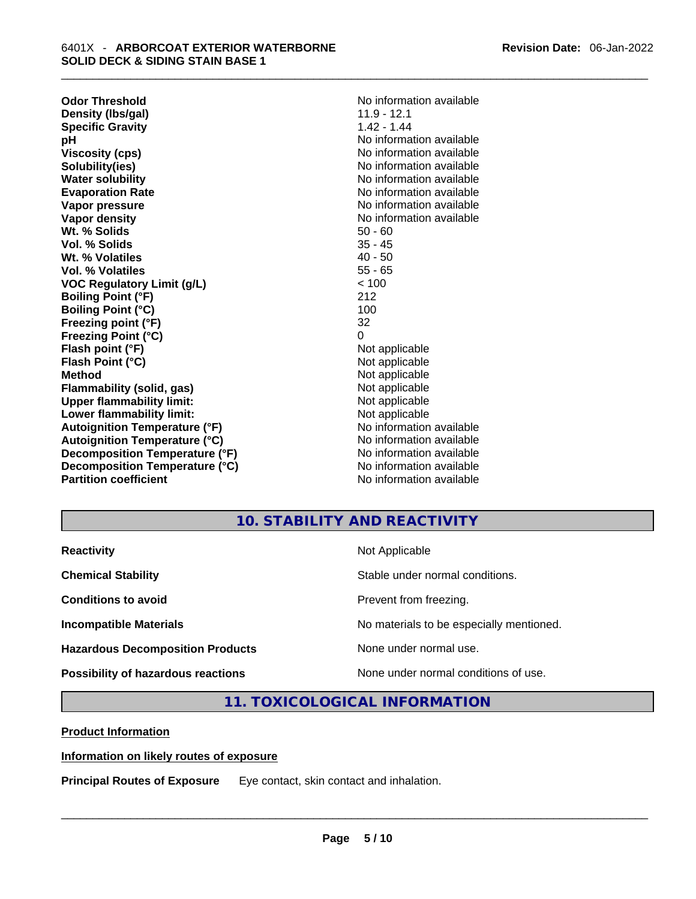**Odor Threshold**<br> **Density (Ibs/gal)**<br> **Density (Ibs/gal)**<br> **No information available**<br>
11.9 - 12.1 **Density (Ibs/gal)** 11.9 - 12.1<br> **Specific Gravity** 1.42 - 1.44 **Specific Gravity pH bH 1 Viscosity (cps) Viscosity (cps) No information available Solubility(ies)** No information available in the solution of the solution of the solution available in the solution of the solution of the solution of the solution of the solution of the solution of the solution of the so **Water solubility No information available No information available Evaporation Rate No information available Vapor pressure No information available Vapor pressure No information available Vapor density No information available No information available Wt. % Solids** 50 - 60<br> **Vol. % Solids** 35 - 45 **Vol. % Solids Wt. % Volatiles** 40 - 50 **Vol. % Volatiles** 55 - 65 **VOC Regulatory Limit (g/L)** < 100 **Boiling Point (°F)** 212 **Boiling Point (°C)** 100 **Freezing point (°F)** 32 **Freezing Point (°C)** 0 **Flash point (°F)**<br> **Flash Point (°C)**<br> **Flash Point (°C)**<br> **C Flash Point (°C) Method** Not applicable<br> **Flammability (solid, gas)** Not applicable Not applicable **Flammability (solid, gas)** Not applicable Not applicable<br>
Upper flammability limit: Not applicable **Upper flammability limit: Lower flammability limit:**<br> **Autoianition Temperature (°F)** Not applicable Not applicable not a Not applicable **Autoignition Temperature (°F) Autoignition Temperature (°C)** No information available **Decomposition Temperature (°F)** No information available **Decomposition Temperature (°C)** No information available **Partition coefficient** No information available

**No information available** 

## **10. STABILITY AND REACTIVITY**

| <b>Reactivity</b>                         | Not Applicable                           |
|-------------------------------------------|------------------------------------------|
| <b>Chemical Stability</b>                 | Stable under normal conditions.          |
| <b>Conditions to avoid</b>                | Prevent from freezing.                   |
| <b>Incompatible Materials</b>             | No materials to be especially mentioned. |
| <b>Hazardous Decomposition Products</b>   | None under normal use.                   |
| <b>Possibility of hazardous reactions</b> | None under normal conditions of use.     |

**11. TOXICOLOGICAL INFORMATION** 

**Product Information**

**Information on likely routes of exposure**

**Principal Routes of Exposure** Eye contact, skin contact and inhalation. \_\_\_\_\_\_\_\_\_\_\_\_\_\_\_\_\_\_\_\_\_\_\_\_\_\_\_\_\_\_\_\_\_\_\_\_\_\_\_\_\_\_\_\_\_\_\_\_\_\_\_\_\_\_\_\_\_\_\_\_\_\_\_\_\_\_\_\_\_\_\_\_\_\_\_\_\_\_\_\_\_\_\_\_\_\_\_\_\_\_\_\_\_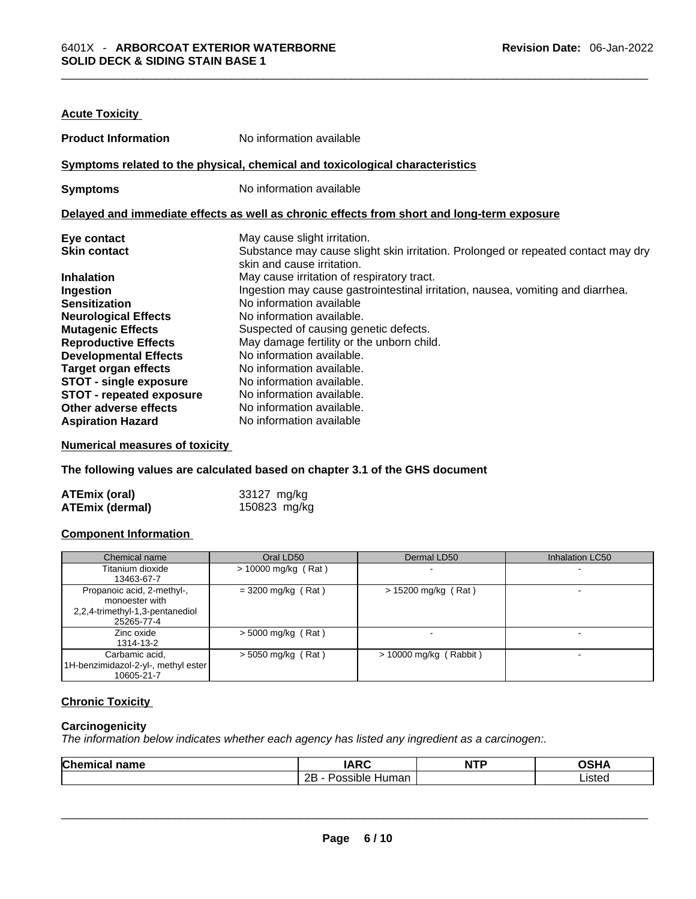| <b>Acute Toxicity</b>                                                                      |                                                                                                                 |  |  |  |
|--------------------------------------------------------------------------------------------|-----------------------------------------------------------------------------------------------------------------|--|--|--|
| <b>Product Information</b>                                                                 | No information available                                                                                        |  |  |  |
|                                                                                            | Symptoms related to the physical, chemical and toxicological characteristics                                    |  |  |  |
| <b>Symptoms</b>                                                                            | No information available                                                                                        |  |  |  |
| Delayed and immediate effects as well as chronic effects from short and long-term exposure |                                                                                                                 |  |  |  |
| Eye contact                                                                                | May cause slight irritation.                                                                                    |  |  |  |
| <b>Skin contact</b>                                                                        | Substance may cause slight skin irritation. Prolonged or repeated contact may dry<br>skin and cause irritation. |  |  |  |
| <b>Inhalation</b>                                                                          | May cause irritation of respiratory tract.                                                                      |  |  |  |
| Ingestion                                                                                  | Ingestion may cause gastrointestinal irritation, nausea, vomiting and diarrhea.                                 |  |  |  |
| <b>Sensitization</b>                                                                       | No information available                                                                                        |  |  |  |
| <b>Neurological Effects</b>                                                                | No information available.                                                                                       |  |  |  |
| <b>Mutagenic Effects</b>                                                                   | Suspected of causing genetic defects.                                                                           |  |  |  |
| <b>Reproductive Effects</b>                                                                | May damage fertility or the unborn child.                                                                       |  |  |  |
| <b>Developmental Effects</b>                                                               | No information available.                                                                                       |  |  |  |
| <b>Target organ effects</b>                                                                | No information available.                                                                                       |  |  |  |
| <b>STOT - single exposure</b>                                                              | No information available.                                                                                       |  |  |  |
| <b>STOT - repeated exposure</b>                                                            | No information available.                                                                                       |  |  |  |
| Other adverse effects                                                                      | No information available.                                                                                       |  |  |  |
| <b>Aspiration Hazard</b>                                                                   | No information available                                                                                        |  |  |  |

#### **Numerical measures of toxicity**

**The following values are calculated based on chapter 3.1 of the GHS document**

| ATEmix (oral)          | 33127 mg/kg  |
|------------------------|--------------|
| <b>ATEmix (dermal)</b> | 150823 mg/kg |

#### **Component Information**

| Chemical name                                                                                 | Oral LD50             | Dermal LD50              | <b>Inhalation LC50</b>   |
|-----------------------------------------------------------------------------------------------|-----------------------|--------------------------|--------------------------|
| Titanium dioxide<br>13463-67-7                                                                | $> 10000$ mg/kg (Rat) |                          | $\overline{\phantom{a}}$ |
| Propanoic acid, 2-methyl-,<br>monoester with<br>2,2,4-trimethyl-1,3-pentanediol<br>25265-77-4 | $=$ 3200 mg/kg (Rat)  | $> 15200$ mg/kg (Rat)    |                          |
| Zinc oxide<br>1314-13-2                                                                       | $>$ 5000 mg/kg (Rat)  |                          |                          |
| Carbamic acid,<br>1H-benzimidazol-2-yl-, methyl ester<br>10605-21-7                           | $>$ 5050 mg/kg (Rat)  | $> 10000$ mg/kg (Rabbit) | $\overline{\phantom{0}}$ |

#### **Chronic Toxicity**

#### **Carcinogenicity**

*The information below indicates whether each agency has listed any ingredient as a carcinogen:.* 

| <b>Chemical name</b> | <b>IARC</b>         | <b>NTP</b> | <b>OSHA</b> |
|----------------------|---------------------|------------|-------------|
|                      | 2B - Possible Human |            | ∟isted      |
|                      |                     |            |             |
|                      |                     |            |             |
|                      |                     |            |             |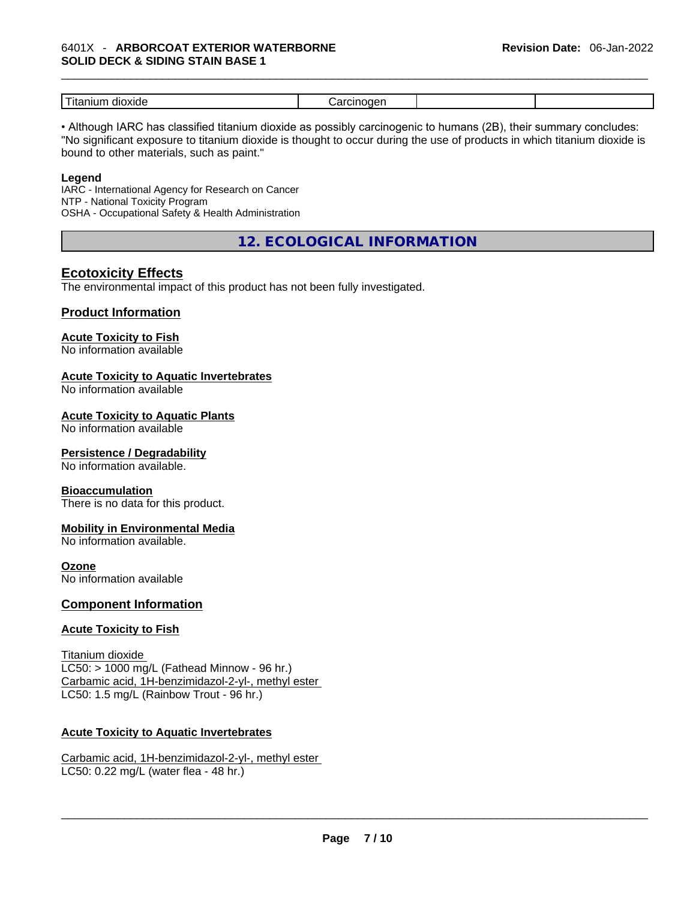| $- -$<br>- і т<br>ш<br>. |  |  |
|--------------------------|--|--|
|                          |  |  |

• Although IARC has classified titanium dioxide as possibly carcinogenic to humans (2B), their summary concludes: "No significant exposure to titanium dioxide is thought to occur during the use of products in which titanium dioxide is bound to other materials, such as paint."

#### **Legend**

IARC - International Agency for Research on Cancer NTP - National Toxicity Program OSHA - Occupational Safety & Health Administration

**12. ECOLOGICAL INFORMATION** 

#### **Ecotoxicity Effects**

The environmental impact of this product has not been fully investigated.

#### **Product Information**

#### **Acute Toxicity to Fish**

No information available

#### **Acute Toxicity to Aquatic Invertebrates**

No information available

#### **Acute Toxicity to Aquatic Plants**

No information available

#### **Persistence / Degradability**

No information available.

#### **Bioaccumulation**

There is no data for this product.

#### **Mobility in Environmental Media**

No information available.

#### **Ozone**

No information available

#### **Component Information**

#### **Acute Toxicity to Fish**

```
Titanium dioxide
LC50: > 1000 mg/L (Fathead Minnow - 96 hr.)
Carbamic acid, 1H-benzimidazol-2-yl-, methyl ester
LC50: 1.5 mg/L (Rainbow Trout - 96 hr.)
```
# **Acute Toxicity to Aquatic Invertebrates**

Carbamic acid, 1H-benzimidazol-2-yl-, methyl ester LC50: 0.22 mg/L (water flea - 48 hr.)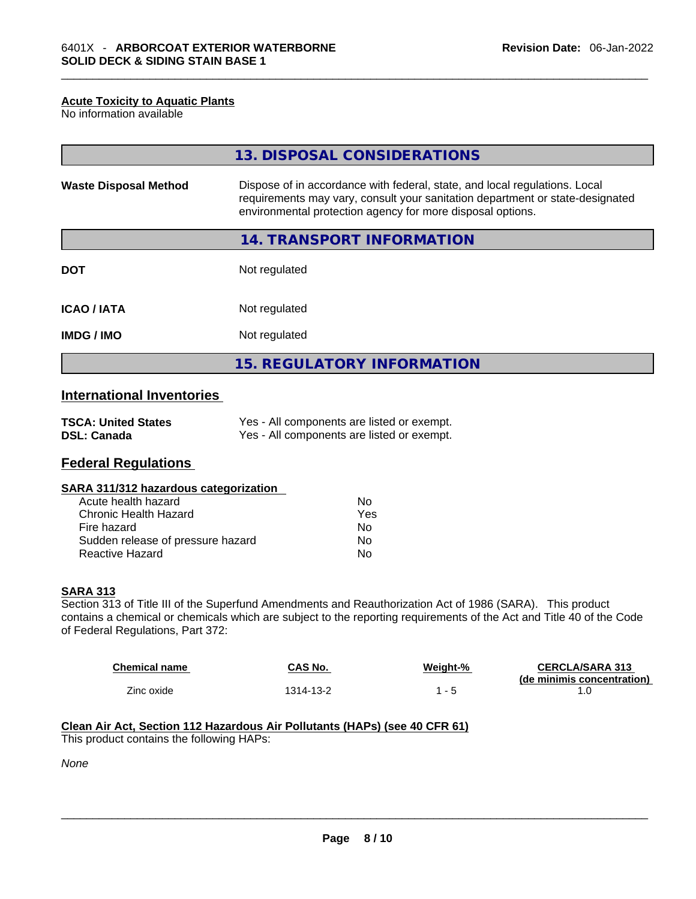#### **Acute Toxicity to Aquatic Plants**

No information available

|                              | 13. DISPOSAL CONSIDERATIONS                                                                                                                                                                                               |
|------------------------------|---------------------------------------------------------------------------------------------------------------------------------------------------------------------------------------------------------------------------|
| <b>Waste Disposal Method</b> | Dispose of in accordance with federal, state, and local regulations. Local<br>requirements may vary, consult your sanitation department or state-designated<br>environmental protection agency for more disposal options. |
|                              | <b>14. TRANSPORT INFORMATION</b>                                                                                                                                                                                          |
| <b>DOT</b>                   | Not regulated                                                                                                                                                                                                             |
| <b>ICAO/IATA</b>             | Not regulated                                                                                                                                                                                                             |
| <b>IMDG/IMO</b>              | Not regulated                                                                                                                                                                                                             |
|                              | <b>15. REGULATORY INFORMATION</b>                                                                                                                                                                                         |

### **International Inventories**

| <b>TSCA: United States</b> | Yes - All components are listed or exempt. |
|----------------------------|--------------------------------------------|
| <b>DSL: Canada</b>         | Yes - All components are listed or exempt. |

#### **Federal Regulations**

| SARA 311/312 hazardous categorization |  |
|---------------------------------------|--|
|---------------------------------------|--|

| Acute health hazard               | Nο  |
|-----------------------------------|-----|
| Chronic Health Hazard             | Yes |
| Fire hazard                       | Nο  |
| Sudden release of pressure hazard | No  |
| <b>Reactive Hazard</b>            | N٥  |

#### **SARA 313**

Section 313 of Title III of the Superfund Amendments and Reauthorization Act of 1986 (SARA). This product contains a chemical or chemicals which are subject to the reporting requirements of the Act and Title 40 of the Code of Federal Regulations, Part 372:

| <b>Chemical name</b> | CAS No.   | Weight-% | <b>CERCLA/SARA 313</b><br>(de minimis concentration) |
|----------------------|-----------|----------|------------------------------------------------------|
| Zinc oxide           | 1314-13-2 |          |                                                      |

#### **Clean Air Act,Section 112 Hazardous Air Pollutants (HAPs) (see 40 CFR 61)**

This product contains the following HAPs:

*None*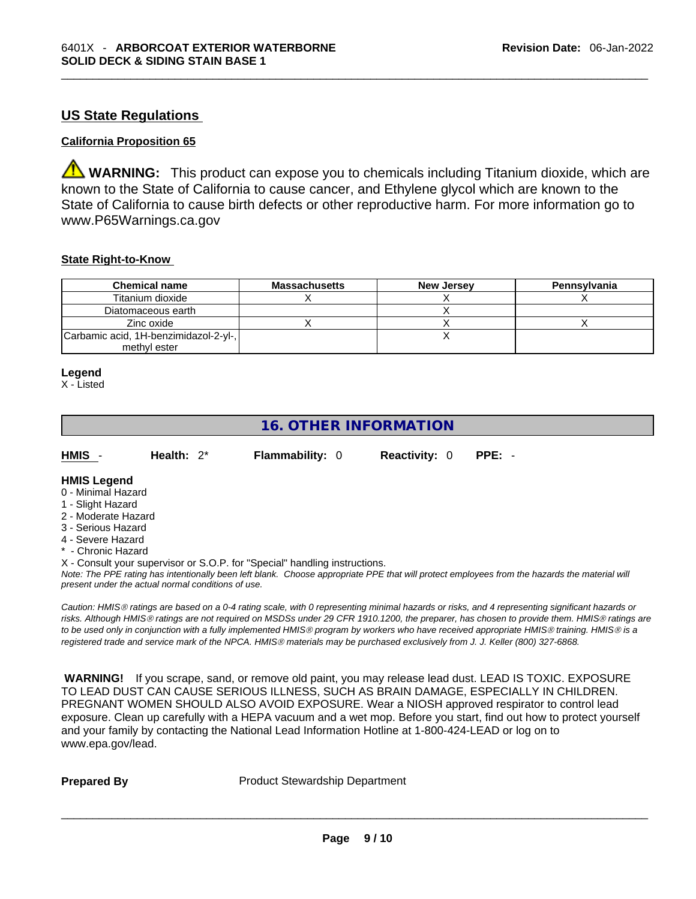#### **US State Regulations**

#### **California Proposition 65**

**WARNING:** This product can expose you to chemicals including Titanium dioxide, which are known to the State of California to cause cancer, and Ethylene glycol which are known to the State of California to cause birth defects or other reproductive harm. For more information go to www.P65Warnings.ca.gov

#### **State Right-to-Know**

| <b>Chemical name</b>                  | <b>Massachusetts</b> | <b>New Jersey</b> | Pennsylvania |
|---------------------------------------|----------------------|-------------------|--------------|
| Titanium dioxide                      |                      |                   |              |
| Diatomaceous earth                    |                      |                   |              |
| Zinc oxide                            |                      |                   |              |
| Carbamic acid, 1H-benzimidazol-2-yl-, |                      |                   |              |
| methyl ester                          |                      |                   |              |

#### **Legend**

X - Listed

## **16. OTHER INFORMATION**

| HMIS - | Health: $2^*$ | <b>Flammability: 0</b> | <b>Reactivity: 0 PPE: -</b> |  |  |
|--------|---------------|------------------------|-----------------------------|--|--|
|        |               |                        |                             |  |  |

#### **HMIS Legend** 0 - Minimal Hazard

- 1 Slight Hazard
- 2 Moderate Hazard
- 3 Serious Hazard
- 4 Severe Hazard
- \* Chronic Hazard

X - Consult your supervisor or S.O.P. for "Special" handling instructions.

Note: The PPE rating has intentionally been left blank. Choose appropriate PPE that will protect employees from the hazards the material will *present under the actual normal conditions of use.* 

*Caution: HMISÒ ratings are based on a 0-4 rating scale, with 0 representing minimal hazards or risks, and 4 representing significant hazards or risks. Although HMISÒ ratings are not required on MSDSs under 29 CFR 1910.1200, the preparer, has chosen to provide them. HMISÒ ratings are to be used only in conjunction with a fully implemented HMISÒ program by workers who have received appropriate HMISÒ training. HMISÒ is a registered trade and service mark of the NPCA. HMISÒ materials may be purchased exclusively from J. J. Keller (800) 327-6868.* 

 **WARNING!** If you scrape, sand, or remove old paint, you may release lead dust. LEAD IS TOXIC. EXPOSURE TO LEAD DUST CAN CAUSE SERIOUS ILLNESS, SUCH AS BRAIN DAMAGE, ESPECIALLY IN CHILDREN. PREGNANT WOMEN SHOULD ALSO AVOID EXPOSURE.Wear a NIOSH approved respirator to control lead exposure. Clean up carefully with a HEPA vacuum and a wet mop. Before you start, find out how to protect yourself and your family by contacting the National Lead Information Hotline at 1-800-424-LEAD or log on to www.epa.gov/lead.

**Prepared By Product Stewardship Department**